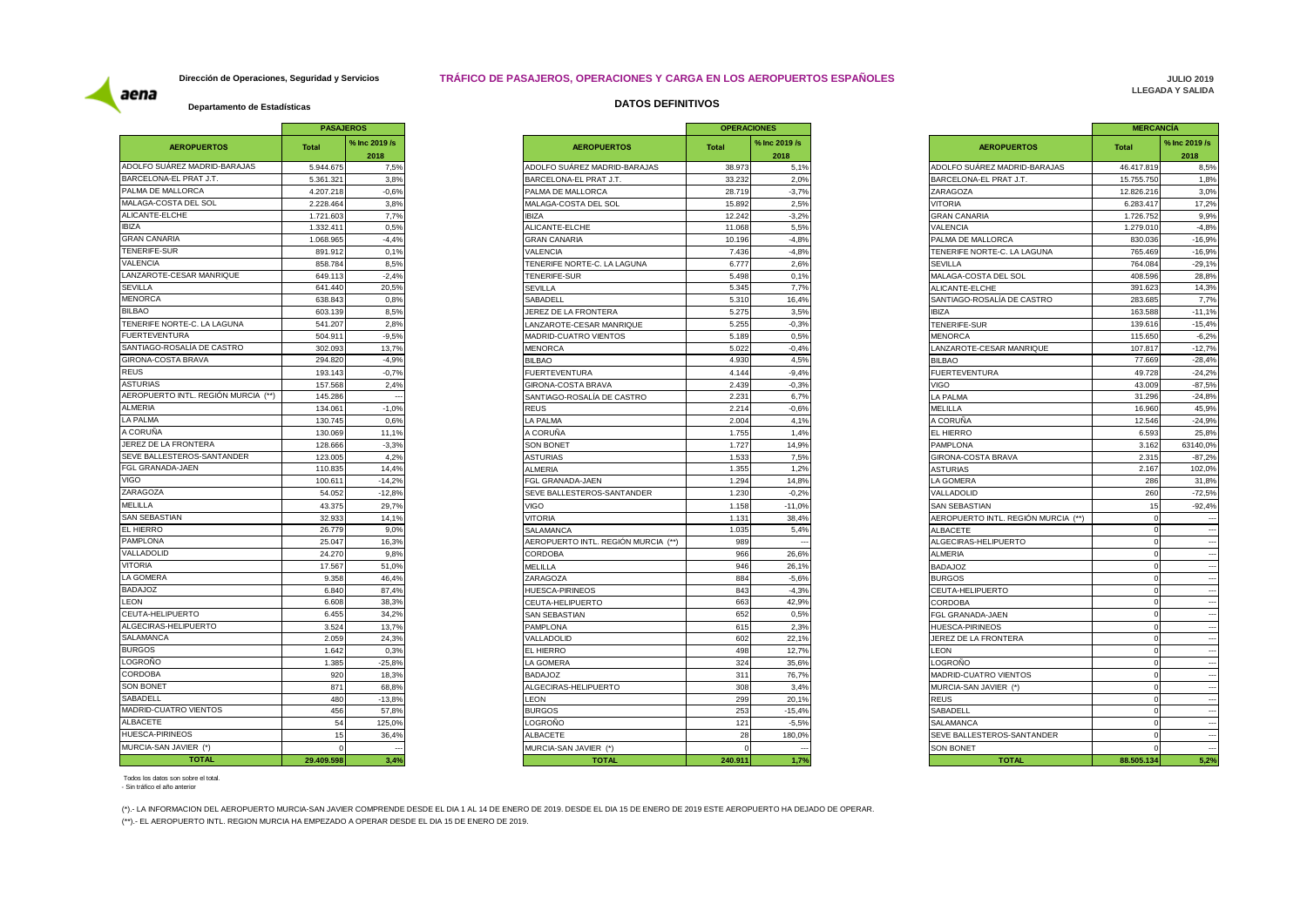### **Dirección de Operaciones, Seguridad y Servicios TRÁFICO DE PASAJEROS, OPERACIONES Y CARGA EN LOS AEROPUERTOS ESPAÑOLES**

**JULIO 2019 LLEGADA Y SALIDA** 

aena

|                                     | <b>PASAJEROS</b> |                          |                     |
|-------------------------------------|------------------|--------------------------|---------------------|
| <b>AEROPUERTOS</b>                  | <b>Total</b>     | % Inc 2019 /s<br>2018    |                     |
| ADOLFO SUÁREZ MADRID-BARAJAS        | 5.944.675        | 7,5%                     | ADOLFO SUÁF         |
| BARCELONA-EL PRAT J.T.              | 5.361.321        | 3,8%                     | <b>BARCELONA-E</b>  |
| PALMA DE MALLORCA                   | 4.207.218        | $-0.6%$                  | PALMA DE MAI        |
| MALAGA-COSTA DEL SOL                | 2.228.464        | 3,8%                     | MALAGA-COST         |
| ALICANTE-ELCHE                      | 1.721.603        | 7,7%                     | <b>IBIZA</b>        |
| <b>IBIZA</b>                        | 1.332.411        | 0.5%                     | ALICANTE-ELC        |
| <b>GRAN CANARIA</b>                 | 1.068.965        | $-4.4%$                  | <b>GRAN CANARI</b>  |
| <b>TENERIFE-SUR</b>                 | 891.912          | 0,1%                     | VALENCIA            |
| VALENCIA                            | 858.784          | 8,5%                     | <b>TENERIFE NOI</b> |
| LANZAROTE-CESAR MANRIQUE            | 649.113          | $-2,4%$                  | <b>TENERIFE-SUR</b> |
| <b>SEVILLA</b>                      | 641.440          | 20,5%                    | <b>SEVILLA</b>      |
| <b>MENORCA</b>                      | 638.843          | 0.8%                     | SABADELL            |
| <b>BILBAO</b>                       | 603.139          | 8,5%                     | JEREZ DE LA F       |
| TENERIFE NORTE-C. LA LAGUNA         | 541.207          | 2,8%                     | LANZAROTE-C         |
| <b>FUERTEVENTURA</b>                | 504.911          | $-9,5%$                  | MADRID-CUAT         |
| SANTIAGO-ROSALÍA DE CASTRO          | 302.093          | 13,7%                    | <b>MENORCA</b>      |
| GIRONA-COSTA BRAVA                  | 294.820          | $-4.9%$                  | <b>BILBAO</b>       |
| <b>REUS</b>                         | 193.143          | $-0.7%$                  | <b>FUERTEVENTI</b>  |
| <b>ASTURIAS</b>                     | 157.568          | 2,4%                     | <b>GIRONA-COST</b>  |
| AEROPUERTO INTL. REGIÓN MURCIA (**) | 145.286          |                          | SANTIAGO-RO         |
| ALMERIA                             | 134.061          | $-1,0%$                  | <b>REUS</b>         |
| LA PALMA                            | 130.745          | 0,6%                     | LA PALMA            |
| A CORUÑA                            | 130.069          | 11,1%                    | A CORUÑA            |
| JEREZ DE LA FRONTERA                | 128.666          | $-3,3%$                  | <b>SON BONET</b>    |
| SEVE BALLESTEROS-SANTANDER          | 123.005          | 4.2%                     | <b>ASTURIAS</b>     |
| FGL GRANADA-JAEN                    | 110.835          | 14,4%                    | ALMERIA             |
| <b>VIGO</b>                         | 100.611          | $-14,2%$                 | FGL GRANADA         |
| ZARAGOZA                            | 54.052           | $-12,8%$                 | <b>SEVE BALLEST</b> |
| <b>MELILLA</b>                      | 43.375           | 29,7%                    | <b>VIGO</b>         |
| <b>SAN SEBASTIAN</b>                | 32.933           | 14,1%                    | <b>VITORIA</b>      |
| <b>EL HIERRO</b>                    | 26.779           | 9,0%                     | SALAMANCA           |
| PAMPLONA                            | 25.047           | 16,3%                    | AEROPUERTO          |
| VALLADOLID                          | 24.270           | 9,8%                     | CORDOBA             |
| <b>VITORIA</b>                      | 17.567           | 51,0%                    | MELILLA             |
| LA GOMERA                           | 9.358            | 46,4%                    | ZARAGOZA            |
| <b>BADAJOZ</b>                      | 6.840            | 87,4%                    | HUESCA-PIRIN        |
| <b>LEON</b>                         | 6.608            | 38,3%                    | CEUTA-HELIPL        |
| CEUTA-HELIPUERTO                    | 6.455            | 34,2%                    | SAN SEBASTIA        |
| ALGECIRAS-HELIPUERTO                | 3.524            | 13,7%                    | <b>PAMPLONA</b>     |
| SALAMANCA                           | 2.059            | 24,3%                    | VALLADOLID          |
| <b>BURGOS</b>                       | 1.642            | 0.3%                     | EL HIERRO           |
| LOGROÑO                             | 1.385            | $-25,8%$                 | LA GOMERA           |
| <b>CORDOBA</b>                      | 920              | 18,3%                    | <b>BADAJOZ</b>      |
| <b>SON BONET</b>                    | 871              | 68,8%                    | ALGECIRAS-HI        |
| SABADELL                            | 480              | $-13,8%$                 | LEON                |
| MADRID-CUATRO VIENTOS               | 456              | 57,8%                    | <b>BURGOS</b>       |
| <b>ALBACETE</b>                     | 54               | 125,0%                   | LOGRONO             |
| HUESCA-PIRINEOS                     | 15               | 36,4%                    | <b>ALBACETE</b>     |
| MURCIA-SAN JAVIER (*)               | $\Omega$         | $\overline{\phantom{a}}$ | MURCIA-SAN J        |
| <b>TOTAL</b>                        |                  | 3.4%                     |                     |
|                                     | 29.409.598       |                          |                     |

## **Departamento de Estadísticas DATOS DEFINITIVOS**

|                          | % Inc 2019 /s<br>2018 | <b>AEROPUERTOS</b>                      | <b>Total</b>        | % Inc 2019 /s<br>2018 |
|--------------------------|-----------------------|-----------------------------------------|---------------------|-----------------------|
|                          | 7,5%                  | ADOLFO SUÁREZ MADRID-BARAJAS            | 38.973              | 5,1%                  |
| 3.8%                     |                       | BARCELONA-EL PRAT J.T.                  | 33.232              | 2.0%                  |
| $-0.6%$                  |                       | PALMA DE MALLORCA                       | 28.719              | $-3,7%$               |
| 3,8%                     |                       | MALAGA-COSTA DEL SOL                    | 15.892              | 2,5%                  |
| 7,7%                     |                       | <b>IBIZA</b>                            | 12.242              | $-3,2%$               |
| 0.5%                     |                       | ALICANTE-ELCHE                          | 11.068              | 5.5%                  |
| $-4,4%$                  |                       | <b>GRAN CANARIA</b>                     | 10.196              | $-4.8%$               |
| 0,1%                     |                       | VALENCIA                                | 7.436               | $-4,8%$               |
| 8,5%                     |                       | TENERIFE NORTE-C. LA LAGUNA             | 6.777               | 2,6%                  |
| $-2.4%$                  |                       | <b>TENERIFE-SUR</b>                     | 5.498               | 0,1%                  |
| 20,5%                    |                       | <b>SEVILLA</b>                          | 5.345               | 7,7%                  |
| 0.8%                     |                       | SABADELL                                | 5.310               | 16,4%                 |
| 8,5%                     |                       | JEREZ DE LA FRONTERA                    | 5.275               | 3.5%                  |
| 2,8%                     |                       | LANZAROTE-CESAR MANRIQUE                | 5.255               | $-0.3%$               |
| $-9,5%$                  |                       |                                         | 5.189               | 0.5%                  |
| 13,7%                    |                       | MADRID-CUATRO VIENTOS<br><b>MENORCA</b> | 5.022               | $-0,4%$               |
| $-4,9%$                  |                       |                                         | 4.930               | 4,5%                  |
|                          |                       | <b>BILBAO</b>                           |                     |                       |
| $-0.7%$                  |                       | <b>FUERTEVENTURA</b>                    | 4.144               | $-9,4%$               |
| 2,4%                     |                       | GIRONA-COSTA BRAVA                      | 2.439               | $-0,3%$               |
| $\overline{\phantom{a}}$ |                       | SANTIAGO-ROSALÍA DE CASTRO              | 2.231               | 6,7%                  |
| $-1.0%$                  |                       | <b>REUS</b>                             | 2.214               | $-0.6%$               |
| 0.6%                     |                       | LA PALMA                                | 2.004               | 4,1%                  |
| 11,1%                    |                       | A CORUÑA                                | 1.755               | 1,4%                  |
| $-3,3%$                  |                       | <b>SON BONET</b>                        | 1.727               | 14,9%                 |
| 4.2%                     |                       | <b>ASTURIAS</b>                         | 1.53                | 7,5%                  |
| 14,4%                    |                       | <b>ALMERIA</b>                          | 1.355               | 1,2%                  |
| $-14,2%$                 |                       | FGL GRANADA-JAEN                        | 1.294               | 14,8%                 |
| $-12,8%$                 |                       | SEVE BALLESTEROS-SANTANDER              | 1.230               | $-0.2%$               |
| 29,7%                    |                       | VIGO                                    | 1.158               | $-11,0%$              |
| 14.1%                    |                       | <b>VITORIA</b>                          | 1.131               | 38.4%                 |
| 9,0%                     |                       | SALAMANCA                               | 1.035               | 5,4%                  |
| 16,3%                    |                       | AEROPUERTO INTL. REGIÓN MURCIA (**)     | 989                 |                       |
| 9,8%                     |                       | <b>CORDOBA</b>                          | 966                 | 26,6%                 |
| 51.0%                    |                       | MELILLA                                 | 946                 | 26.1%                 |
| 46,4%                    |                       | ZARAGOZA                                | 884                 | $-5,6%$               |
| 87,4%                    |                       | HUESCA-PIRINEOS                         | 843                 | $-4,3%$               |
| 38.3%                    |                       | CEUTA-HELIPUERTO                        | 663                 | 42.9%                 |
| 34,2%                    |                       | <b>SAN SEBASTIAN</b>                    | 652                 | 0.5%                  |
| 13.7%                    |                       | PAMPLONA                                | 615                 | 2.3%                  |
| 24,3%                    |                       | VALLADOLID                              | 602                 | 22,1%                 |
| 0,3%                     |                       | EL HIERRO                               | 498                 | 12,7%                 |
| $-25,8%$                 |                       | LA GOMERA                               | 324                 | 35,6%                 |
| 18,3%                    |                       | <b>BADAJOZ</b>                          | 311                 | 76,7%                 |
| 68,8%                    |                       | ALGECIRAS-HELIPUERTO                    | 308                 | 3,4%                  |
| $-13,8%$                 |                       | LEON                                    | 299                 | 20,1%                 |
| 57,8%                    |                       | <b>BURGOS</b>                           | 253                 | $-15,4%$              |
| 125,0%                   |                       | LOGROÑO                                 | 121                 | $-5,5%$               |
|                          |                       | ALBACETE                                | 28                  |                       |
| 36,4%                    |                       |                                         |                     | 180,0%                |
|                          |                       | MURCIA-SAN JAVIER (*)<br><b>TOTAL</b>   | $\Omega$<br>240.911 | 17%                   |

|               | <b>PASAJEROS</b> |                                     | <b>OPERACIONES</b> |               |
|---------------|------------------|-------------------------------------|--------------------|---------------|
|               | % Inc 2019 /s    | <b>AEROPUERTOS</b>                  | <b>Total</b>       | % Inc 2019 /s |
| <b>lotal</b>  | 2018             |                                     |                    | 2018          |
| 5.944.675     | 7,5%             | ADOLFO SUÁREZ MADRID-BARAJAS        | 38.973             | 5,1%          |
| 5.361.321     | 3.8%             | BARCELONA-EL PRAT J.T.              | 33.232             | 2.0%          |
| 4.207.218     | $-0.6%$          | PALMA DE MALLORCA                   | 28.719             | $-3,7%$       |
| 2.228.464     | 3,8%             | MALAGA-COSTA DEL SOL                | 15.892             | 2,5%          |
| 1.721.603     | 7,7%             | <b>IBIZA</b>                        | 12.242             | $-3,2%$       |
| 1.332.41      | 0.5%             | ALICANTE-ELCHE                      | 11.068             | 5,5%          |
| 1.068.965     | $-4.4%$          | <b>GRAN CANARIA</b>                 | 10.196             | $-4.8%$       |
| 891.91        | 0,1%             | VALENCIA                            | 7.436              | $-4,8%$       |
| 858.784       | 8,5%             | TENERIFE NORTE-C. LA LAGUNA         | 6.77               | 2,6%          |
| 649.11        | $-2.4%$          | <b>TENERIFE-SUR</b>                 | 5.498              | 0.1%          |
| 641.440       | 20,5%            | <b>SEVILLA</b>                      | 5.345              | 7,7%          |
| 638.843       |                  |                                     |                    |               |
|               | 0.8%             | SABADELL                            | 5.310              | 16,4%         |
| 603.139       | 8,5%             | JEREZ DE LA FRONTERA                | 5.27               | 3,5%          |
| 541.207       | 2,8%             | LANZAROTE-CESAR MANRIQUE            | 5.255              | $-0.3%$       |
| 504.91        | $-9,5%$          | MADRID-CUATRO VIENTOS               | 5.189              | 0.5%          |
| 302.093       | 13,7%            | <b>MENORCA</b>                      | 5.022              | $-0.4%$       |
| 294.820       | $-4,9%$          | <b>BILBAO</b>                       | 4.93               | 4,5%          |
| 193.14        | $-0.7%$          | <b>FUERTEVENTURA</b>                | 4.144              | $-9,4%$       |
| 157.568       | 2,4%             | GIRONA-COSTA BRAVA                  | 2.439              | $-0.3%$       |
| 145.286       |                  | SANTIAGO-ROSALÍA DE CASTRO          | 2.23               | 6,7%          |
| 134.061       | $-1,0%$          | REUS                                | 2.214              | $-0.6%$       |
| 130.745       | 0.6%             | A PALMA                             | 2.004              | 4.1%          |
| 130.069       | 11,1%            | A CORUÑA                            | 1.755              | 1,4%          |
| 128.666       | $-3,3%$          | <b>SON BONET</b>                    | 1.72               | 14,9%         |
| 123.005       | 4,2%             | <b>ASTURIAS</b>                     | 1.533              | 7,5%          |
| 110.835       | 14,4%            | ALMERIA                             | 1.355              | 1,2%          |
| 100.61        | $-14.2%$         | FGL GRANADA-JAEN                    | 1.294              | 14.8%         |
| 54.05         | $-12,8%$         | SEVE BALLESTEROS-SANTANDER          | 1.23               | $-0.2%$       |
| 43.375        | 29,7%            | <b>VIGO</b>                         | 1.158              | $-11,0%$      |
| 32.933        | 14,1%            | <b>VITORIA</b>                      | 1.13               | 38.4%         |
| 26.779        | 9,0%             | SALAMANCA                           | 1.035              | 5,4%          |
| 25.047        | 16.3%            | AEROPUERTO INTL. REGIÓN MURCIA (**) | 989                | $\sim$        |
| 24.27         | 9.8%             | CORDOBA                             | 966                | 26.6%         |
| 17.567        | 51,0%            | MELILLA                             | 946                | 26,1%         |
| 9.358         | 46,4%            | ZARAGOZA                            | 884                | $-5.6%$       |
| 6.840         | 87,4%            | HUESCA-PIRINEOS                     | 843                | $-4,3%$       |
| 6.608         | 38.3%            | CEUTA-HELIPUERTO                    | 663                | 42.9%         |
| 6.455         | 34,2%            | <b>SAN SEBASTIAN</b>                | 652                | 0.5%          |
| 3.52          | 13,7%            | PAMPLONA                            | 615                | 2,3%          |
| 2.059         | 24.3%            | VALLADOLID                          | 602                | 22.1%         |
| 1.642         | 0,3%             | <b>EL HIERRO</b>                    | 498                | 12,7%         |
| 1.385         | $-25.8%$         | A GOMERA                            | 324                | 35,6%         |
| 920           | 18.3%            | <b>BADAJOZ</b>                      | 31                 | 76,7%         |
| 871           | 68,8%            | ALGECIRAS-HELIPUERTO                | 308                | 3,4%          |
| 480           | $-13,8%$         | LEON                                | 299                | 20,1%         |
| 456           | 57,8%            | <b>BURGOS</b>                       | 253                | $-15,4%$      |
| 54            | 125,0%           | _OGROÑO                             | 121                | $-5,5%$       |
| 15            | 36,4%            | ALBACETE                            | 28                 | 180,0%        |
| $\mathcal{C}$ |                  |                                     |                    |               |
| 29.409.598    |                  | MURCIA-SAN JAVIER (*)               |                    | 1.7%          |
|               | 3.4%             | <b>TOTAL</b>                        | 240.911            |               |

Todos los datos son sobre el total. - Sin tráfico el año anterior

(\*).- LA INFORMACION DEL AEROPUERTO MURCIA-SAN JAVIER COMPRENDE DESDE EL DIA 1 AL 14 DE ENERO DE 2019. DESDE EL DIA 15 DE ENERO DE 2019 ESTE AEROPUERTO HA DEJADO DE OPERAR. (\*\*).- EL AEROPUERTO INTL. REGION MURCIA HA EMPEZADO A OPERAR DESDE EL DIA 15 DE ENERO DE 2019.